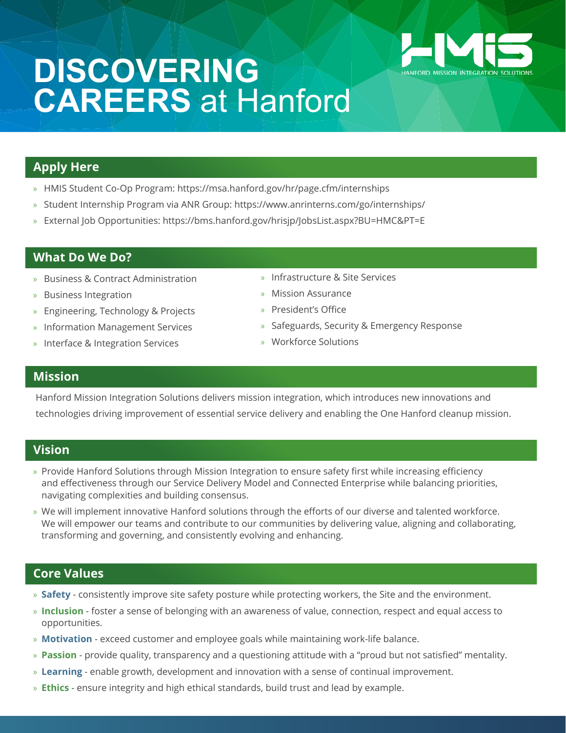

# **DISCOVERING CAREERS** at Hanford

## **Apply Here**

- » HMIS Student Co-Op Program: https://msa.hanford.gov/hr/page.cfm/internships
- » Student Internship Program via ANR Group: https://www.anrinterns.com/go/internships/
- » External Job Opportunities: https://bms.hanford.gov/hrisjp/JobsList.aspx?BU=HMC&PT=E

## **What Do We Do?**

- » Business & Contract Administration
- » Business Integration
- » Engineering, Technology & Projects
- » Information Management Services
- » Interface & Integration Services
- » Infrastructure & Site Services
- » Mission Assurance
- » President's Office
- » Safeguards, Security & Emergency Response
- » Workforce Solutions

#### **Mission**

 Hanford Mission Integration Solutions delivers mission integration, which introduces new innovations and technologies driving improvement of essential service delivery and enabling the One Hanford cleanup mission.

#### **Vision**

- » Provide Hanford Solutions through Mission Integration to ensure safety first while increasing efficiency and effectiveness through our Service Delivery Model and Connected Enterprise while balancing priorities, navigating complexities and building consensus.
- » We will implement innovative Hanford solutions through the efforts of our diverse and talented workforce. We will empower our teams and contribute to our communities by delivering value, aligning and collaborating, transforming and governing, and consistently evolving and enhancing.

## **Core Values**

- » **Safety** consistently improve site safety posture while protecting workers, the Site and the environment.
- » **Inclusion** foster a sense of belonging with an awareness of value, connection, respect and equal access to opportunities.
- » **Motivation** exceed customer and employee goals while maintaining work-life balance.
- » **Passion** provide quality, transparency and a questioning attitude with a "proud but not satisfied" mentality.
- » **Learning** enable growth, development and innovation with a sense of continual improvement.
- » **Ethics** ensure integrity and high ethical standards, build trust and lead by example.